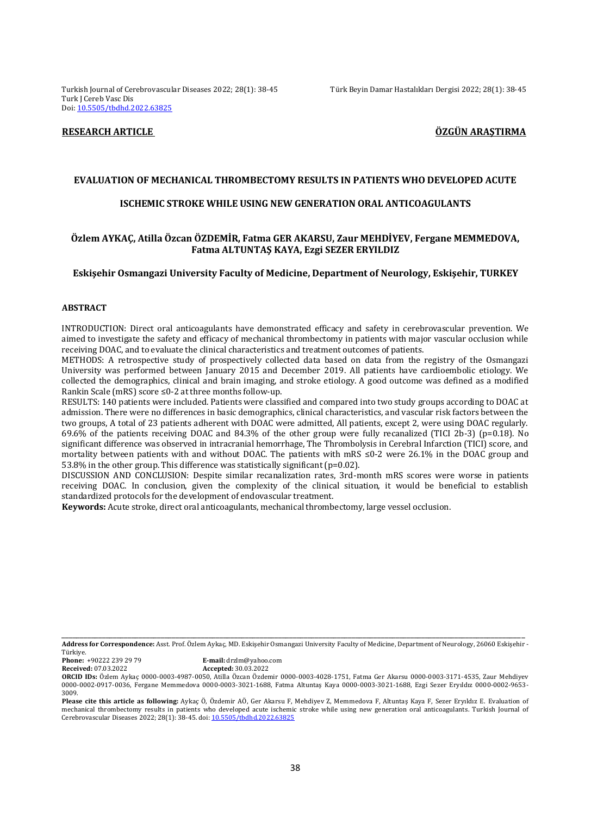Turkish Journal of Cerebrovascular Diseases 2022; 28(1): 38-45 Türk Beyin Damar Hastalıkları Dergisi 2022; 28(1): 38-45 Turk J Cereb Vasc Dis Doi: [10.5505/tbdhd.2022.63825](https://dx.doi.org/10.5505/tbdhd.2022.63825)

# **RESEARCH ARTICLE ÖZGÜN ARAŞTIRMA**

## **EVALUATION OF MECHANICAL THROMBECTOMY RESULTS IN PATIENTS WHO DEVELOPED ACUTE**

## **ISCHEMIC STROKE WHILE USING NEW GENERATION ORAL ANTICOAGULANTS**

# **Özlem AYKAÇ, Atilla Özcan ÖZDEMİR, Fatma GER AKARSU, Zaur MEHDİYEV, Fergane MEMMEDOVA, Fatma ALTUNTAŞ KAYA, Ezgi SEZER ERYILDIZ**

#### **Eskişehir Osmangazi University Faculty of Medicine, Department of Neurology, Eskişehir, TURKEY**

# **ABSTRACT**

INTRODUCTION: Direct oral anticoagulants have demonstrated efficacy and safety in cerebrovascular prevention. We aimed to investigate the safety and efficacy of mechanical thrombectomy in patients with major vascular occlusion while receiving DOAC, and to evaluate the clinical characteristics and treatment outcomes of patients.

METHODS: A retrospective study of prospectively collected data based on data from the registry of the Osmangazi University was performed between January 2015 and December 2019. All patients have cardioembolic etiology. We collected the demographics, clinical and brain imaging, and stroke etiology. A good outcome was defined as a modified Rankin Scale (mRS) score ≤0-2 at three months follow-up.

RESULTS: 140 patients were included. Patients were classified and compared into two study groups according to DOAC at admission. There were no differences in basic demographics, clinical characteristics, and vascular risk factors between the two groups, A total of 23 patients adherent with DOAC were admitted, All patients, except 2, were using DOAC regularly. 69.6% of the patients receiving DOAC and 84.3% of the other group were fully recanalized (TICI 2b-3) (p=0.18). No significant difference was observed in intracranial hemorrhage, The Thrombolysis in Cerebral Infarction (TICI) score, and mortality between patients with and without DOAC. The patients with mRS ≤0-2 were 26.1% in the DOAC group and 53.8% in the other group. This difference was statistically significant (p=0.02).

DISCUSSION AND CONCLUSION: Despite similar recanalization rates, 3rd-month mRS scores were worse in patients receiving DOAC. In conclusion, given the complexity of the clinical situation, it would be beneficial to establish standardized protocols for the development of endovascular treatment.

**Keywords:** Acute stroke, direct oral anticoagulants, mechanical thrombectomy, large vessel occlusion.

Türkiye.

**Received:** 07.03.2022 **Accepted:** 30.03.2022

\_\_\_\_\_\_\_\_\_\_\_\_\_\_\_\_\_\_\_\_\_\_\_\_\_\_\_\_\_\_\_\_\_\_\_\_\_\_\_\_\_\_\_\_\_\_\_\_\_\_\_\_\_\_\_\_\_\_\_\_\_\_\_\_\_\_\_\_\_\_\_\_\_\_\_\_\_\_\_\_\_\_\_\_\_\_\_\_\_\_\_\_\_\_\_\_\_\_\_\_\_\_\_\_\_\_\_\_\_\_\_\_\_\_\_\_\_\_\_\_\_\_\_\_\_\_ **Address for Correspondence:** Asst. Prof. Özlem Aykaç, MD. Eskişehir Osmangazi University Faculty of Medicine, Department of Neurology, 26060 Eskişehir -

**Phone:** +90222 239 29 79 **E-mail:** drzlm@yahoo.com

**ORCID IDs:** Özlem Aykaç 0000-0003-4987-0050, Atilla Özcan Özdemir 0000-0003-4028-1751, Fatma Ger Akarsu 0000-0003-3171-4535, Zaur Mehdiyev 0000-0002-0917-0036, Fergane Memmedova 0000-0003-3021-1688, Fatma Altuntaş Kaya 0000-0003-3021-1688, Ezgi Sezer Eryıldız 0000-0002-9653- 3009.

**Please cite this article as following:** Aykaç Ö, Özdemir AÖ, Ger Akarsu F, Mehdiyev Z, Memmedova F, Altuntaş Kaya F, Sezer Eryıldız E. Evaluation of mechanical thrombectomy results in patients who developed acute ischemic stroke while using new generation oral anticoagulants. Turkish Journal of Cerebrovascular Diseases 2022; 28(1): 38-45. doi[: 10.5505/tbdhd.2022.63825](https://dx.doi.org/10.5505/tbdhd.2022.63825)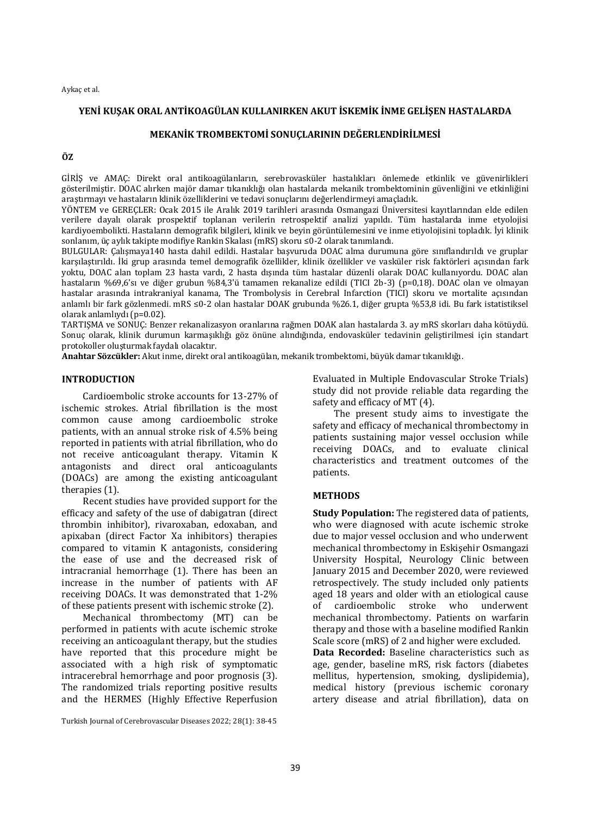# **YENİ KUŞAK ORAL ANTİKOAGÜLAN KULLANIRKEN AKUT İSKEMİK İNME GELİŞEN HASTALARDA**

# **MEKANİK TROMBEKTOMİ SONUÇLARININ DEĞERLENDİRİLMESİ**

# **ÖZ**

GİRİŞ ve AMAÇ: Direkt oral antikoagülanların, serebrovasküler hastalıkları önlemede etkinlik ve güvenirlikleri gösterilmiştir. DOAC alırken majör damar tıkanıklığı olan hastalarda mekanik trombektominin güvenliğini ve etkinliğini araştırmayı ve hastaların klinik özelliklerini ve tedavi sonuçlarını değerlendirmeyi amaçladık.

YÖNTEM ve GEREÇLER: Ocak 2015 ile Aralık 2019 tarihleri arasında Osmangazi Üniversitesi kayıtlarından elde edilen verilere dayalı olarak prospektif toplanan verilerin retrospektif analizi yapıldı. Tüm hastalarda inme etyolojisi kardiyoembolikti. Hastaların demografik bilgileri, klinik ve beyin görüntülemesini ve inme etiyolojisini topladık. İyi klinik sonlanım, üç aylık takipte modifiye Rankin Skalası (mRS) skoru ≤0-2 olarak tanımlandı.

BULGULAR: Çalışmaya140 hasta dahil edildi. Hastalar başvuruda DOAC alma durumuna göre sınıflandırıldı ve gruplar karşılaştırıldı. İki grup arasında temel demografik özellikler, klinik özellikler ve vasküler risk faktörleri açısından fark yoktu, DOAC alan toplam 23 hasta vardı, 2 hasta dışında tüm hastalar düzenli olarak DOAC kullanıyordu. DOAC alan hastaların %69,6'sı ve diğer grubun %84,3'ü tamamen rekanalize edildi (TICI 2b-3) (p=0,18). DOAC olan ve olmayan hastalar arasında intrakraniyal kanama, The Trombolysis in Cerebral Infarction (TICI) skoru ve mortalite açısından anlamlı bir fark gözlenmedi. mRS ≤0-2 olan hastalar DOAK grubunda %26.1, diğer grupta %53,8 idi. Bu fark istatistiksel olarak anlamlıydı (p=0.02).

TARTIŞMA ve SONUÇ: Benzer rekanalizasyon oranlarına rağmen DOAK alan hastalarda 3. ay mRS skorları daha kötüydü. Sonuç olarak, klinik durumun karmaşıklığı göz önüne alındığında, endovasküler tedavinin geliştirilmesi için standart protokoller oluşturmak faydalı olacaktır.

**Anahtar Sözcükler:** Akut inme, direkt oral antikoagülan, mekanik trombektomi, büyük damar tıkanıklığı.

# **INTRODUCTION**

Cardioembolic stroke accounts for 13-27% of ischemic strokes. Atrial fibrillation is the most common cause among cardioembolic stroke patients, with an annual stroke risk of 4.5% being reported in patients with atrial fibrillation, who do not receive anticoagulant therapy. Vitamin K antagonists and direct oral anticoagulants (DOACs) are among the existing anticoagulant therapies (1).

Recent studies have provided support for the efficacy and safety of the use of dabigatran (direct thrombin inhibitor), rivaroxaban, edoxaban, and apixaban (direct Factor Xa inhibitors) therapies compared to vitamin K antagonists, considering the ease of use and the decreased risk of intracranial hemorrhage (1). There has been an increase in the number of patients with AF receiving DOACs. It was demonstrated that 1-2% of these patients present with ischemic stroke (2).

Mechanical thrombectomy (MT) can be performed in patients with acute ischemic stroke receiving an anticoagulant therapy, but the studies have reported that this procedure might be associated with a high risk of symptomatic intracerebral hemorrhage and poor prognosis (3). The randomized trials reporting positive results and the HERMES (Highly Effective Reperfusion

Evaluated in Multiple Endovascular Stroke Trials) study did not provide reliable data regarding the safety and efficacy of MT (4).

The present study aims to investigate the safety and efficacy of mechanical thrombectomy in patients sustaining major vessel occlusion while receiving DOACs, and to evaluate clinical characteristics and treatment outcomes of the patients.

# **METHODS**

**Study Population:** The registered data of patients, who were diagnosed with acute ischemic stroke due to major vessel occlusion and who underwent mechanical thrombectomy in Eskişehir Osmangazi University Hospital, Neurology Clinic between January 2015 and December 2020, were reviewed retrospectively. The study included only patients aged 18 years and older with an etiological cause of cardioembolic stroke who underwent mechanical thrombectomy. Patients on warfarin therapy and those with a baseline modified Rankin Scale score (mRS) of 2 and higher were excluded.

**Data Recorded:** Baseline characteristics such as age, gender, baseline mRS, risk factors (diabetes mellitus, hypertension, smoking, dyslipidemia), medical history (previous ischemic coronary artery disease and atrial fibrillation), data on

Turkish Journal of Cerebrovascular Diseases 2022; 28(1): 38-45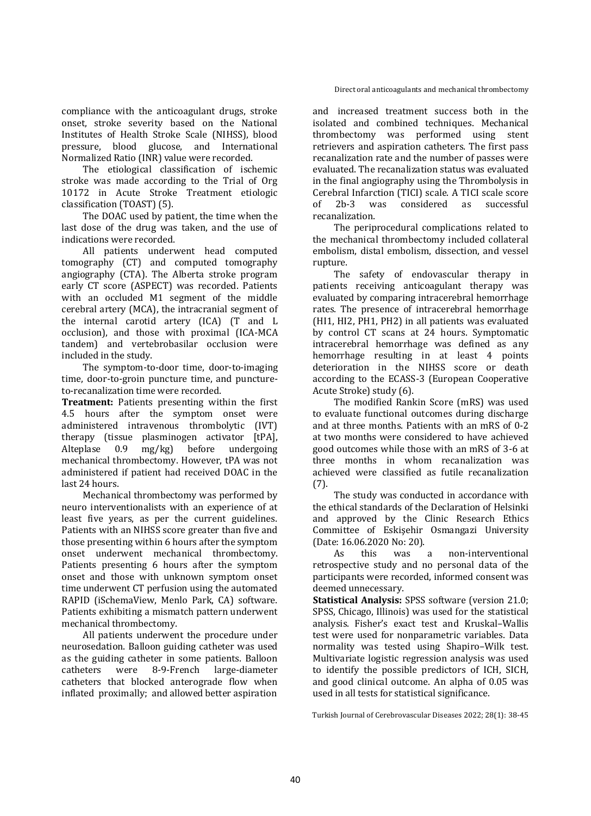Direct oral anticoagulants and mechanical thrombectomy

compliance with the anticoagulant drugs, stroke onset, stroke severity based on the National Institutes of Health Stroke Scale (NIHSS), blood pressure, blood glucose, and International Normalized Ratio (INR) value were recorded.

The etiological classification of ischemic stroke was made according to the Trial of Org 10172 in Acute Stroke Treatment etiologic classification (TOAST) (5).

The DOAC used by patient, the time when the last dose of the drug was taken, and the use of indications were recorded.

All patients underwent head computed tomography (CT) and computed tomography angiography (CTA). The Alberta stroke program early CT score (ASPECT) was recorded. Patients with an occluded M1 segment of the middle cerebral artery (MCA), the intracranial segment of the internal carotid artery (ICA) (T and L occlusion), and those with proximal (ICA-MCA tandem) and vertebrobasilar occlusion were included in the study.

The symptom-to-door time, door-to-imaging time, door-to-groin puncture time, and punctureto-recanalization time were recorded.

**Treatment:** Patients presenting within the first 4.5 hours after the symptom onset were administered intravenous thrombolytic (IVT) therapy (tissue plasminogen activator [tPA], Alteplase 0.9 mg/kg) before undergoing mechanical thrombectomy. However, tPA was not administered if patient had received DOAC in the last 24 hours.

Mechanical thrombectomy was performed by neuro interventionalists with an experience of at least five years, as per the current guidelines. Patients with an NIHSS score greater than five and those presenting within 6 hours after the symptom onset underwent mechanical thrombectomy. Patients presenting 6 hours after the symptom onset and those with unknown symptom onset time underwent CT perfusion using the automated RAPID (iSchemaView, Menlo Park, CA) software. Patients exhibiting a mismatch pattern underwent mechanical thrombectomy.

All patients underwent the procedure under neurosedation. Balloon guiding catheter was used as the guiding catheter in some patients. Balloon catheters were 8-9-French large-diameter catheters that blocked anterograde flow when inflated proximally; and allowed better aspiration

and increased treatment success both in the isolated and combined techniques. Mechanical thrombectomy was performed using stent retrievers and aspiration catheters. The first pass recanalization rate and the number of passes were evaluated. The recanalization status was evaluated in the final angiography using the Thrombolysis in Cerebral Infarction (TICI) scale. A TICI scale score of 2b-3 was considered as successful recanalization.

The periprocedural complications related to the mechanical thrombectomy included collateral embolism, distal embolism, dissection, and vessel rupture.

The safety of endovascular therapy in patients receiving anticoagulant therapy was evaluated by comparing intracerebral hemorrhage rates. The presence of intracerebral hemorrhage (HI1, HI2, PH1, PH2) in all patients was evaluated by control CT scans at 24 hours. Symptomatic intracerebral hemorrhage was defined as any hemorrhage resulting in at least 4 points deterioration in the NIHSS score or death according to the ECASS-3 (European Cooperative Acute Stroke) study (6).

The modified Rankin Score (mRS) was used to evaluate functional outcomes during discharge and at three months. Patients with an mRS of 0-2 at two months were considered to have achieved good outcomes while those with an mRS of 3-6 at three months in whom recanalization was achieved were classified as futile recanalization (7).

The study was conducted in accordance with the ethical standards of the Declaration of Helsinki and approved by the Clinic Research Ethics Committee of Eskişehir Osmangazi University (Date: 16.06.2020 No: 20).

As this was a non-interventional retrospective study and no personal data of the participants were recorded, informed consent was deemed unnecessary.

**Statistical Analysis:** SPSS software (version 21.0; SPSS, Chicago, Illinois) was used for the statistical analysis. Fisher's exact test and Kruskal–Wallis test were used for nonparametric variables. Data normality was tested using Shapiro–Wilk test. Multivariate logistic regression analysis was used to identify the possible predictors of ICH, SICH, and good clinical outcome. An alpha of 0.05 was used in all tests for statistical significance.

Turkish Journal of Cerebrovascular Diseases 2022; 28(1): 38-45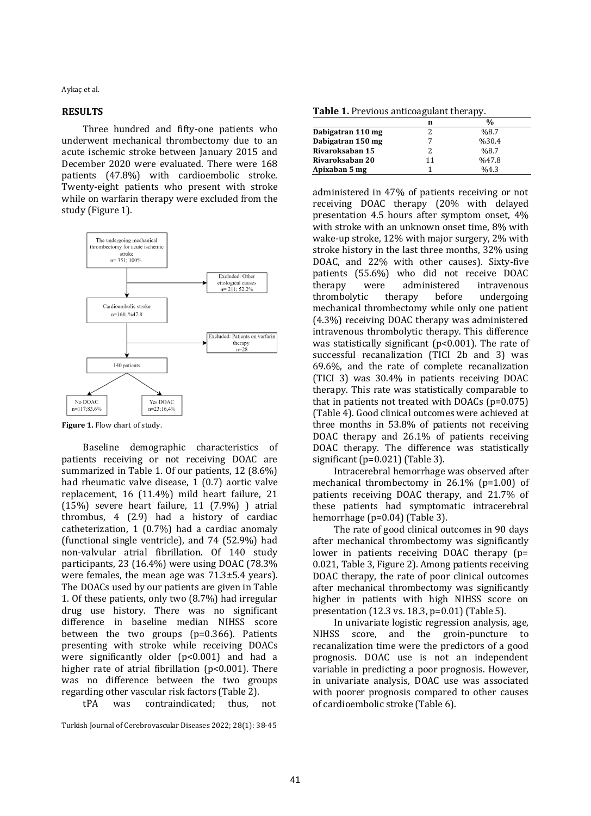#### **RESULTS**

Three hundred and fifty-one patients who underwent mechanical thrombectomy due to an acute ischemic stroke between January 2015 and December 2020 were evaluated. There were 168 patients (47.8%) with cardioembolic stroke. Twenty-eight patients who present with stroke while on warfarin therapy were excluded from the study (Figure 1).



**Figure 1.** Flow chart of study.

Baseline demographic characteristics of patients receiving or not receiving DOAC are summarized in Table 1. Of our patients, 12 (8.6%) had rheumatic valve disease, 1 (0.7) aortic valve replacement, 16 (11.4%) mild heart failure, 21 (15%) severe heart failure, 11 (7.9%) ) atrial thrombus, 4 (2.9) had a history of cardiac catheterization, 1 (0.7%) had a cardiac anomaly (functional single ventricle), and 74 (52.9%) had non-valvular atrial fibrillation. Of 140 study participants, 23 (16.4%) were using DOAC (78.3% were females, the mean age was 71.3±5.4 years). The DOACs used by our patients are given in Table 1. Of these patients, only two (8.7%) had irregular drug use history. There was no significant difference in baseline median NIHSS score between the two groups (p=0.366). Patients presenting with stroke while receiving DOACs were significantly older (p<0.001) and had a higher rate of atrial fibrillation (p<0.001). There was no difference between the two groups regarding other vascular risk factors (Table 2).

tPA was contraindicated; thus, not

Turkish Journal of Cerebrovascular Diseases 2022; 28(1): 38-45

**Table 1.** Previous anticoagulant therapy.

|                   | n  | $\frac{0}{0}$ |
|-------------------|----|---------------|
| Dabigatran 110 mg |    | %8.7          |
| Dabigatran 150 mg |    | %30.4         |
| Rivaroksaban 15   |    | %8.7          |
| Rivaroksaban 20   | 11 | %47.8         |
| Apixaban 5 mg     |    | %4.3          |

administered in 47% of patients receiving or not receiving DOAC therapy (20% with delayed presentation 4.5 hours after symptom onset, 4% with stroke with an unknown onset time, 8% with wake-up stroke, 12% with major surgery, 2% with stroke history in the last three months, 32% using DOAC, and 22% with other causes). Sixty-five patients (55.6%) who did not receive DOAC therapy were administered intravenous thrombolytic therapy before undergoing mechanical thrombectomy while only one patient (4.3%) receiving DOAC therapy was administered intravenous thrombolytic therapy. This difference was statistically significant ( $p<0.001$ ). The rate of successful recanalization (TICI 2b and 3) was 69.6%, and the rate of complete recanalization (TICI 3) was 30.4% in patients receiving DOAC therapy. This rate was statistically comparable to that in patients not treated with DOACs (p=0.075) (Table 4). Good clinical outcomes were achieved at three months in 53.8% of patients not receiving DOAC therapy and 26.1% of patients receiving DOAC therapy. The difference was statistically significant (p=0.021) (Table 3).

Intracerebral hemorrhage was observed after mechanical thrombectomy in 26.1% (p=1.00) of patients receiving DOAC therapy, and 21.7% of these patients had symptomatic intracerebral hemorrhage (p=0.04) (Table 3).

The rate of good clinical outcomes in 90 days after mechanical thrombectomy was significantly lower in patients receiving DOAC therapy (p= 0.021, Table 3, Figure 2). Among patients receiving DOAC therapy, the rate of poor clinical outcomes after mechanical thrombectomy was significantly higher in patients with high NIHSS score on presentation (12.3 vs. 18.3, p=0.01) (Table 5).

In univariate logistic regression analysis, age, NIHSS score, and the groin-puncture to recanalization time were the predictors of a good prognosis. DOAC use is not an independent variable in predicting a poor prognosis. However, in univariate analysis, DOAC use was associated with poorer prognosis compared to other causes of cardioembolic stroke (Table 6).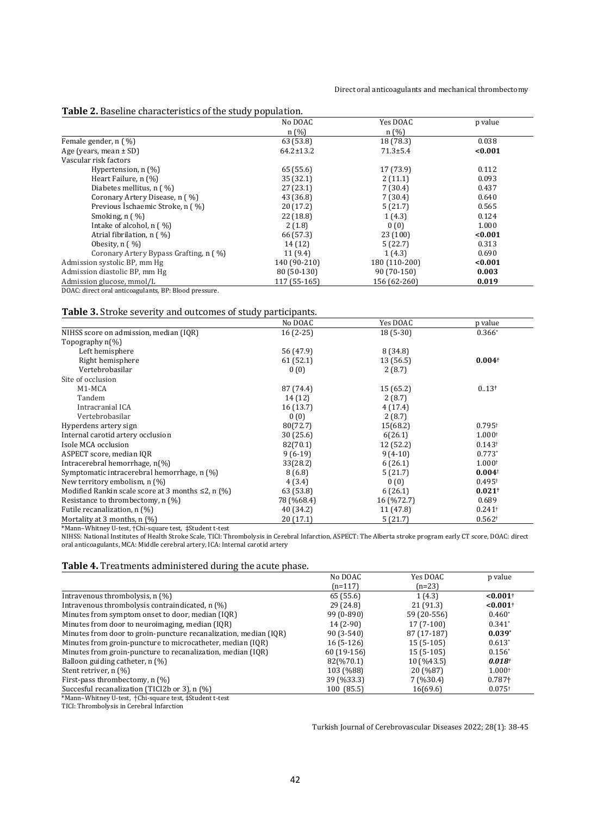#### Direct oral anticoagulants and mechanical thrombectomy

## **Table 2.** Baseline characteristics of the study population.

|                                                   | No DOAC         | Yes DOAC       | p value |
|---------------------------------------------------|-----------------|----------------|---------|
|                                                   | n(%)            | n(%)           |         |
| Female gender, n (%)                              | 63 (53.8)       | 18 (78.3)      | 0.038   |
| Age (years, mean $\pm$ SD)                        | $64.2 \pm 13.2$ | $71.3 \pm 5.4$ | < 0.001 |
| Vascular risk factors                             |                 |                |         |
| Hypertension, $n$ (%)                             | 65 (55.6)       | 17 (73.9)      | 0.112   |
| Heart Failure, n (%)                              | 35(32.1)        | 2(11.1)        | 0.093   |
| Diabetes mellitus, $n \left( \frac{9}{6} \right)$ | 27(23.1)        | 7(30.4)        | 0.437   |
| Coronary Artery Disease, n (%)                    | 43 (36.8)       | 7(30.4)        | 0.640   |
| Previous Ischaemic Stroke, n ( %)                 | 20(17.2)        | 5(21.7)        | 0.565   |
| Smoking, $n(y_0)$                                 | 22(18.8)        | 1(4.3)         | 0.124   |
| Intake of alcohol, n (%)                          | 2(1.8)          | 0(0)           | 1.000   |
| Atrial fibrilation, n (%)                         | 66 (57.3)       | 23(100)        | < 0.001 |
| Obesity, $n \binom{0}{0}$                         | 14 (12)         | 5(22.7)        | 0.313   |
| Coronary Artery Bypass Grafting, n ( %)           | 11(9.4)         | 1(4.3)         | 0.690   |
| Admission systolic BP, mm Hg                      | 140 (90-210)    | 180 (110-200)  | < 0.001 |
| Admission diastolic BP, mm Hg                     | 80 (50-130)     | 90 (70-150)    | 0.003   |
| Admission glucose, mmol/L                         | 117 (55-165)    | 156 (62-260)   | 0.019   |

DOAC: direct oral anticoagulants, BP: Blood pressure.

# **Table 3.** Stroke severity and outcomes of study participants.

|                                                          | No DOAC    | Yes DOAC   | p value              |
|----------------------------------------------------------|------------|------------|----------------------|
| NIHSS score on admission, median (IQR)                   | $16(2-25)$ | $18(5-30)$ | $0.366*$             |
| Topography $n(\%)$                                       |            |            |                      |
| Left hemisphere                                          | 56 (47.9)  | 8 (34.8)   |                      |
| Right hemisphere                                         | 61(52.1)   | 13 (56.5)  | $0.004^{\dagger}$    |
| Vertebrobasilar                                          | 0(0)       | 2(8.7)     |                      |
| Site of occlusion                                        |            |            |                      |
| M <sub>1</sub> -M <sub>C</sub> A                         | 87 (74.4)  | 15(65.2)   | 0.13 <sup>†</sup>    |
| Tandem                                                   | 14(12)     | 2(8.7)     |                      |
| Intracranial ICA                                         | 16(13.7)   | 4(17.4)    |                      |
| Vertebrobasilar                                          | 0(0)       | 2(8.7)     |                      |
| Hyperdens artery sign                                    | 80(72.7)   | 15(68.2)   | $0.795+$             |
| Internal carotid artery occlusion                        | 30(25.6)   | 6(26.1)    | 1.000 <sup>†</sup>   |
| Isole MCA occlusion                                      | 82(70.1)   | 12 (52.2)  | $0.143+$             |
| ASPECT score, median IQR                                 | $9(6-19)$  | $9(4-10)$  | $0.773*$             |
| Intracerebral hemorrhage, n(%)                           | 33(28.2)   | 6(26.1)    | 1.000 <sup>†</sup>   |
| Symptomatic intracerebral hemorrhage, n (%)              | 8(6.8)     | 5(21.7)    | $0.004^+$            |
| New territory embolism, n (%)                            | 4(3.4)     | 0(0)       | $0.495^+$            |
| Modified Rankin scale score at 3 months $\leq 2$ , n (%) | 63 (53.8)  | 6(26.1)    | $0.021$ <sup>+</sup> |
| Resistance to thrombectomy, $n$ (%)                      | 78 (%68.4) | 16 (%72.7) | 0.689                |
| Futile recanalization, n (%)                             | 40 (34.2)  | 11 (47.8)  | $0.241$ <sup>+</sup> |
| Mortality at 3 months, $n$ (%)                           | 20(17.1)   | 5(21.7)    | 0.562 <sup>†</sup>   |

\*Mann–Whitney U-test, †Chi-square test, ‡Student t-test

NIHSS: National Institutes of Health Stroke Scale, TICI: Thrombolysis in Cerebral Infarction, ASPECT: The Alberta stroke program early CT score, DOAC: direct oral anticoagulants, MCA: Middle cerebral artery, ICA: Internal carotid artery

#### **Table 4.** Treatments administered during the acute phase.

|                                                                  | No DOAC      | Yes DOAC    | p value                |
|------------------------------------------------------------------|--------------|-------------|------------------------|
|                                                                  | $(n=117)$    | (n=23)      |                        |
| Intravenous thrombolysis, $n$ (%)                                | 65 (55.6)    | 1(4.3)      | $< 0.001$ <sup>+</sup> |
| Intravenous thrombolysis contraindicated, n (%)                  | 29 (24.8)    | 21(91.3)    | $< 0.001$ <sup>+</sup> |
| Minutes from symptom onset to door, median (IQR)                 | $99(0-890)$  | 59 (20-556) | $0.460*$               |
| Minutes from door to neuroimaging, median (IQR)                  | $14(2-90)$   | $17(7-100)$ | $0.341*$               |
| Minutes from door to groin-puncture recanalization, median (IQR) | $90(3-540)$  | 87 (17-187) | $0.039*$               |
| Minutes from groin-puncture to microcatheter, median (IQR)       | $16(5-126)$  | $15(5-105)$ | $0.613*$               |
| Minutes from groin-puncture to recanalization, median (IQR)      | $60(19-156)$ | $15(5-105)$ | $0.156*$               |
| Balloon guiding catheter, $n$ $(\%)$                             | 82(%70.1)    | 10 (%43.5)  | $0.018^{\dagger}$      |
| Stent retriver, n (%)                                            | 103 (%88)    | 20 (%87)    | 1.000 <sup>†</sup>     |
| First-pass thrombectomy, $n$ $\left(\frac{9}{6}\right)$          | 39 (%33.3)   | $7($ %30.4) | $0.787+$               |
| Succesful recanalization (TICI2b or 3), n (%)                    | 100 (85.5)   | 16(69.6)    | $0.075+$               |
|                                                                  |              |             |                        |

\*Mann–Whitney U-test, †Chi-square test, ‡Student t-test

TICI: Thrombolysis in Cerebral Infarction

Turkish Journal of Cerebrovascular Diseases 2022; 28(1): 38-45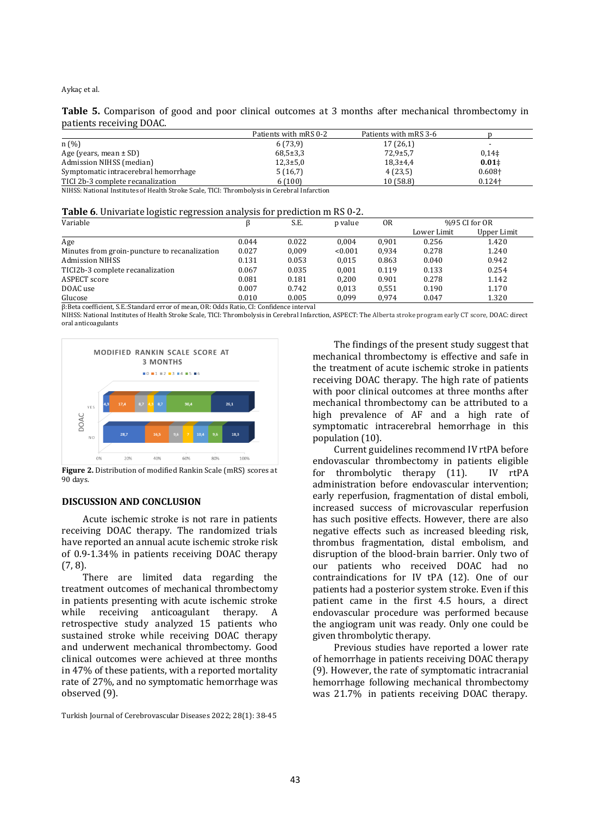**Table 5.** Comparison of good and poor clinical outcomes at 3 months after mechanical thrombectomy in patients receiving DOAC.

|                                      | Patients with mRS 0-2 | Patients with mRS 3-6 |                |
|--------------------------------------|-----------------------|-----------------------|----------------|
| n(%)                                 | 6(73,9)               | 17(26,1)              |                |
| Age (years, mean $\pm$ SD)           | $68,5+3,3$            | $72,9+5,7$            | $0,14\ddagger$ |
| Admission NIHSS (median)             | $12,3+5,0$            | $18,3+4,4$            | $0.01\dagger$  |
| Symptomatic intracerebral hemorrhage | 5(16,7)               | 4(23,5)               | $0.608+$       |
| TICI 2b-3 complete recanalization    | 6(100)                | 10 (58.8)             | $0.124 +$      |

NIHSS: National Institutes of Health Stroke Scale, TICI: Thrombolysis in Cerebral Infarction

| Table 6. Univariate logistic regression analysis for prediction m RS 0-2. |  |  |  |
|---------------------------------------------------------------------------|--|--|--|
|---------------------------------------------------------------------------|--|--|--|

| -<br>Variable                                 |       | S.E.  | p value | 0R    | %95 CI for OR |             |
|-----------------------------------------------|-------|-------|---------|-------|---------------|-------------|
|                                               |       |       |         |       | Lower Limit   | Upper Limit |
| Age                                           | 0.044 | 0.022 | 0.004   | 0.901 | 0.256         | 1.420       |
| Minutes from groin-puncture to recanalization | 0.027 | 0.009 | < 0.001 | 0.934 | 0.278         | 1.240       |
| <b>Admission NIHSS</b>                        | 0.131 | 0.053 | 0.015   | 0.863 | 0.040         | 0.942       |
| TICI2b-3 complete recanalization              | 0.067 | 0.035 | 0.001   | 0.119 | 0.133         | 0.254       |
| ASPECT score                                  | 0.081 | 0.181 | 0.200   | 0.901 | 0.278         | 1.142       |
| DOAC use                                      | 0.007 | 0.742 | 0.013   | 0.551 | 0.190         | 1.170       |
| Glucose                                       | 0.010 | 0.005 | 0.099   | 0.974 | 0.047         | 1.320       |

β:Beta coefficient, S.E.:Standard error of mean, OR: Odds Ratio, CI: Confidence interval

NIHSS: National Institutes of Health Stroke Scale, TICI: Thrombolysis in Cerebral Infarction, ASPECT: The Alberta stroke program early CT score, DOAC: direct oral anticoagulants



**Figure 2.** Distribution of modified Rankin Scale (mRS) scores at 90 days.

## **DISCUSSION AND CONCLUSION**

Acute ischemic stroke is not rare in patients receiving DOAC therapy. The randomized trials have reported an annual acute ischemic stroke risk of 0.9-1.34% in patients receiving DOAC therapy (7, 8).

There are limited data regarding the treatment outcomes of mechanical thrombectomy in patients presenting with acute ischemic stroke while receiving anticoagulant therapy. A retrospective study analyzed 15 patients who sustained stroke while receiving DOAC therapy and underwent mechanical thrombectomy. Good clinical outcomes were achieved at three months in 47% of these patients, with a reported mortality rate of 27%, and no symptomatic hemorrhage was observed (9).

Turkish Journal of Cerebrovascular Diseases 2022; 28(1): 38-45

The findings of the present study suggest that mechanical thrombectomy is effective and safe in the treatment of acute ischemic stroke in patients receiving DOAC therapy. The high rate of patients with poor clinical outcomes at three months after mechanical thrombectomy can be attributed to a high prevalence of AF and a high rate of symptomatic intracerebral hemorrhage in this population (10).

Current guidelines recommend IV rtPA before endovascular thrombectomy in patients eligible for thrombolytic therapy (11). IV rtPA administration before endovascular intervention; early reperfusion, fragmentation of distal emboli, increased success of microvascular reperfusion has such positive effects. However, there are also negative effects such as increased bleeding risk, thrombus fragmentation, distal embolism, and disruption of the blood-brain barrier. Only two of our patients who received DOAC had no contraindications for IV tPA (12). One of our patients had a posterior system stroke. Even if this patient came in the first 4.5 hours, a direct endovascular procedure was performed because the angiogram unit was ready. Only one could be given thrombolytic therapy.

Previous studies have reported a lower rate of hemorrhage in patients receiving DOAC therapy (9). However, the rate of symptomatic intracranial hemorrhage following mechanical thrombectomy was 21.7% in patients receiving DOAC therapy.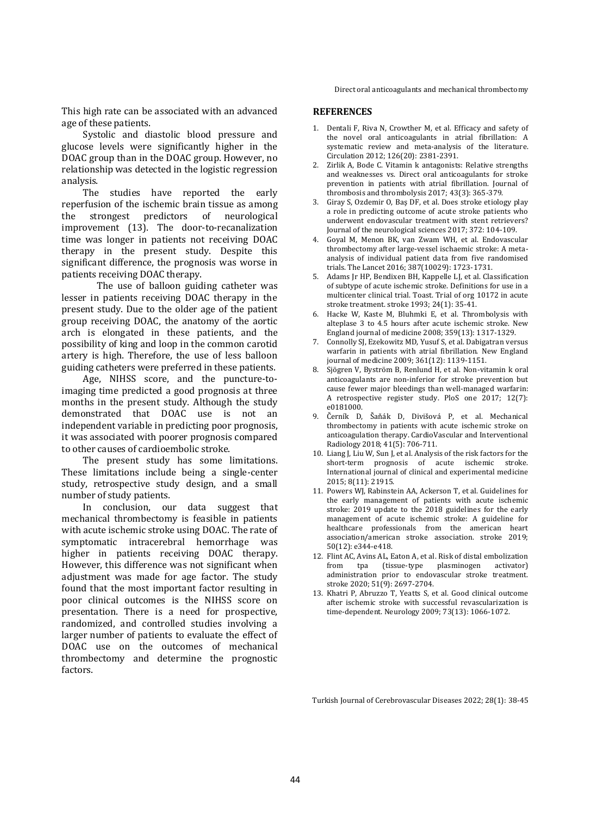Direct oral anticoagulants and mechanical thrombectomy

This high rate can be associated with an advanced age of these patients.

Systolic and diastolic blood pressure and glucose levels were significantly higher in the DOAC group than in the DOAC group. However, no relationship was detected in the logistic regression analysis.

The studies have reported the early reperfusion of the ischemic brain tissue as among the strongest predictors of neurological improvement (13). The door-to-recanalization time was longer in patients not receiving DOAC therapy in the present study. Despite this significant difference, the prognosis was worse in patients receiving DOAC therapy.

The use of balloon guiding catheter was lesser in patients receiving DOAC therapy in the present study. Due to the older age of the patient group receiving DOAC, the anatomy of the aortic arch is elongated in these patients, and the possibility of king and loop in the common carotid artery is high. Therefore, the use of less balloon guiding catheters were preferred in these patients.

Age, NIHSS score, and the puncture-toimaging time predicted a good prognosis at three months in the present study. Although the study demonstrated that DOAC use is not an independent variable in predicting poor prognosis, it was associated with poorer prognosis compared to other causes of cardioembolic stroke.

The present study has some limitations. These limitations include being a single-center study, retrospective study design, and a small number of study patients.

In conclusion, our data suggest that mechanical thrombectomy is feasible in patients with acute ischemic stroke using DOAC. The rate of symptomatic intracerebral hemorrhage was higher in patients receiving DOAC therapy. However, this difference was not significant when adjustment was made for age factor. The study found that the most important factor resulting in poor clinical outcomes is the NIHSS score on presentation. There is a need for prospective, randomized, and controlled studies involving a larger number of patients to evaluate the effect of DOAC use on the outcomes of mechanical thrombectomy and determine the prognostic factors.

# **REFERENCES**

- 1. Dentali F, Riva N, Crowther M, et al. Efficacy and safety of the novel oral anticoagulants in atrial fibrillation: A systematic review and meta-analysis of the literature. Circulation 2012; 126(20): 2381-2391.
- 2. Zirlik A, Bode C. Vitamin k antagonists: Relative strengths and weaknesses vs. Direct oral anticoagulants for stroke prevention in patients with atrial fibrillation. Journal of thrombosis and thrombolysis 2017; 43(3): 365-379.
- 3. Giray S, Ozdemir O, Baş DF, et al. Does stroke etiology play a role in predicting outcome of acute stroke patients who underwent endovascular treatment with stent retrievers? Journal of the neurological sciences 2017; 372: 104-109.
- 4. Goyal M, Menon BK, van Zwam WH, et al. Endovascular thrombectomy after large-vessel ischaemic stroke: A metaanalysis of individual patient data from five randomised trials. The Lancet 2016; 387(10029): 1723-1731.
- 5. Adams Jr HP, Bendixen BH, Kappelle LJ, et al. Classification of subtype of acute ischemic stroke. Definitions for use in a multicenter clinical trial. Toast. Trial of org 10172 in acute stroke treatment. stroke 1993; 24(1): 35-41.
- 6. Hacke W, Kaste M, Bluhmki E, et al. Thrombolysis with alteplase 3 to 4.5 hours after acute ischemic stroke. New England journal of medicine 2008; 359(13): 1317-1329.
- 7. Connolly SJ, Ezekowitz MD, Yusuf S, et al. Dabigatran versus warfarin in patients with atrial fibrillation. New England journal of medicine 2009; 361(12): 1139-1151.
- 8. Sjögren V, Byström B, Renlund H, et al. Non-vitamin k oral anticoagulants are non-inferior for stroke prevention but cause fewer major bleedings than well-managed warfarin: A retrospective register study. PloS one 2017; 12(7): e0181000.
- 9. Černík D, Šaňák D, Divišová P, et al. Mechanical thrombectomy in patients with acute ischemic stroke on anticoagulation therapy. CardioVascular and Interventional Radiology 2018; 41(5): 706-711.
- 10. Liang J, Liu W, Sun J, et al. Analysis of the risk factors for the short-term prognosis of acute ischemic stroke. International journal of clinical and experimental medicine 2015; 8(11): 21915.
- 11. Powers WJ, Rabinstein AA, Ackerson T, et al. Guidelines for the early management of patients with acute ischemic stroke: 2019 update to the 2018 guidelines for the early management of acute ischemic stroke: A guideline for healthcare professionals from the american heart association/american stroke association. stroke 2019; 50(12): e344-e418.
- 12. Flint AC, Avins AL, Eaton A, et al. Risk of distal embolization from tpa (tissue-type plasminogen activator) administration prior to endovascular stroke treatment. stroke 2020; 51(9): 2697-2704.
- 13. Khatri P, Abruzzo T, Yeatts S, et al. Good clinical outcome after ischemic stroke with successful revascularization is time-dependent. Neurology 2009; 73(13): 1066-1072.

Turkish Journal of Cerebrovascular Diseases 2022; 28(1): 38-45